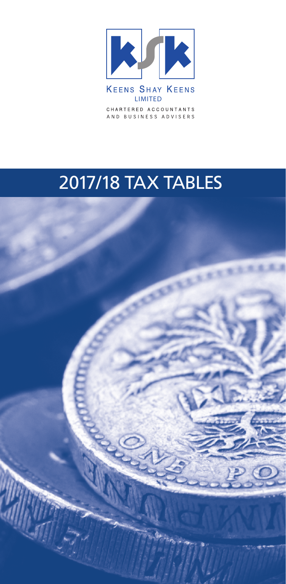

CHARTERED ACCOUNTANTS AND BUSINESS ADVISERS

# 2017/18 TAX TABLES

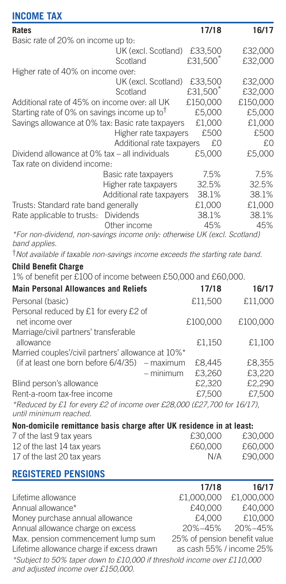| <b>INCOME TAX</b>                                                                          |                           |                      |          |
|--------------------------------------------------------------------------------------------|---------------------------|----------------------|----------|
| Rates                                                                                      |                           | 17/18                | 16/17    |
| Basic rate of 20% on income up to:                                                         |                           |                      |          |
|                                                                                            | UK (excl. Scotland)       | £33,500              | £32,000  |
|                                                                                            | Scotland                  | £31,500              | £32,000  |
| Higher rate of 40% on income over:                                                         |                           |                      |          |
|                                                                                            | UK (excl. Scotland)       | £33,500              | £32,000  |
|                                                                                            | Scotland                  | £31,500 <sup>*</sup> | £32,000  |
| Additional rate of 45% on income over: all UK                                              |                           | £150,000             | £150,000 |
| Starting rate of 0% on savings income up to <sup>†</sup>                                   |                           | £5,000               | £5,000   |
| Savings allowance at 0% tax: Basic rate taxpayers                                          |                           | £1,000               | £1,000   |
|                                                                                            | Higher rate taxpayers     | £500                 | £500     |
|                                                                                            | Additional rate taxpayers | £0                   | £0       |
| Dividend allowance at 0% tax - all individuals                                             |                           | £5,000               | £5,000   |
| Tax rate on dividend income:                                                               |                           |                      |          |
|                                                                                            | Basic rate taxpayers      | 7.5%                 | 7.5%     |
|                                                                                            | Higher rate taxpayers     | 32.5%                | 32.5%    |
|                                                                                            | Additional rate taxpayers | 38.1%                | 38.1%    |
| Trusts: Standard rate band generally                                                       |                           | £1.000               | £1,000   |
| Rate applicable to trusts:                                                                 | <b>Dividends</b>          | 38.1%                | 38.1%    |
|                                                                                            | Other income              | 45%                  | 45%      |
| *For non-dividend, non-savings income only: otherwise UK (excl. Scotland)<br>band applies. |                           |                      |          |
| *Not available if taxable non-savings income exceeds the starting rate band.               |                           |                      |          |
| <b>Child Benefit Charge</b>                                                                |                           |                      |          |
| 1% of benefit per £100 of income between £50,000 and £60,000.                              |                           |                      |          |

| <b>Main Personal Allowances and Reliefs</b>                                                       |             | 17/18    | 16/17    |
|---------------------------------------------------------------------------------------------------|-------------|----------|----------|
| Personal (basic)                                                                                  |             | £11.500  | £11.000  |
| Personal reduced by £1 for every £2 of<br>net income over                                         |             | £100,000 | £100,000 |
| Marriage/civil partners' transferable                                                             |             |          |          |
| allowance                                                                                         |             | £1.150   | £1.100   |
| Married couples'/civil partners' allowance at 10%*                                                |             |          |          |
| (if at least one born before 6/4/35) – maximum                                                    |             | £8.445   | £8.355   |
|                                                                                                   | $-$ minimum | £3.260   | £3.220   |
| Blind person's allowance                                                                          |             | £2.320   | £2.290   |
| Rent-a-room tax-free income                                                                       |             | £7.500   | £7.500   |
| *Reduced by £1 for every £2 of income over £28,000 (£27,700 for 16/17),<br>until minimum reached. |             |          |          |

**Non-domicile remittance basis charge after UK residence in at least:** 

| 7 of the last 9 tax years   | £30,000 | £30,000 |
|-----------------------------|---------|---------|
| 12 of the last 14 tax years | £60,000 | £60,000 |
| 17 of the last 20 tax years | N/A     | £90,000 |

### **REGISTERED PENSIONS**

|                                                                         | 17/18                        | 16/17      |
|-------------------------------------------------------------------------|------------------------------|------------|
| Lifetime allowance                                                      | £1,000,000                   | £1,000,000 |
| Annual allowance*                                                       | £40,000                      | £40,000    |
| Money purchase annual allowance                                         | £4.000                       | £10,000    |
| Annual allowance charge on excess                                       | 20%-45%                      | 20%-45%    |
| Max, pension commencement lump sum                                      | 25% of pension benefit value |            |
| Lifetime allowance charge if excess drawn                               | as cash 55% / income 25%     |            |
| *Subject to 50% taper down to £10,000 if threshold income over £110,000 |                              |            |
| and adjusted income over £150,000.                                      |                              |            |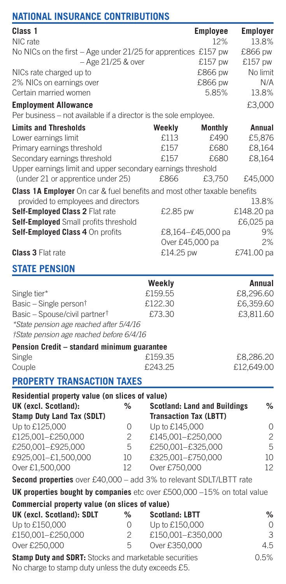# **NATIONAL INSURANCE CONTRIBUTIONS**

| Class 1                                                                                         |                     |                                    | Employee                            | Employer   |
|-------------------------------------------------------------------------------------------------|---------------------|------------------------------------|-------------------------------------|------------|
| NIC rate                                                                                        |                     |                                    | 12%                                 | 13.8%      |
| No NICs on the first - Age under 21/25 for apprentices £157 pw                                  |                     |                                    |                                     | £866 pw    |
| – Age 21/25 & over                                                                              |                     |                                    | £157 pw                             | £157 pw    |
| NICs rate charged up to                                                                         |                     |                                    | £866 pw                             | No limit   |
| 2% NICs on earnings over                                                                        |                     |                                    | £866 pw                             | N/A        |
| Certain married women                                                                           |                     |                                    | 5.85%                               | 13.8%      |
| <b>Employment Allowance</b><br>Per business - not available if a director is the sole employee. |                     |                                    |                                     | £3,000     |
| <b>Limits and Thresholds</b>                                                                    |                     | Weekly                             | Monthly                             | Annual     |
| Lower earnings limit                                                                            |                     | £113                               | £490                                | £5,876     |
| Primary earnings threshold                                                                      |                     | £157                               | £680                                | £8,164     |
| Secondary earnings threshold                                                                    |                     | £157                               | £680                                | £8,164     |
| Upper earnings limit and upper secondary earnings threshold                                     |                     |                                    |                                     |            |
| (under 21 or apprentice under 25)                                                               |                     | £866                               | £3,750                              | £45,000    |
| Class 1A Employer On car & fuel benefits and most other taxable benefits                        |                     |                                    |                                     |            |
| provided to employees and directors                                                             |                     |                                    |                                     | 13.8%      |
| Self-Employed Class 2 Flat rate                                                                 |                     | £2.85 pw                           |                                     | £148.20 pa |
| Self-Employed Small profits threshold                                                           |                     |                                    |                                     | £6,025 pa  |
| Self-Employed Class 4 On profits                                                                |                     |                                    | £8,164–£45,000 pa                   | 9%         |
|                                                                                                 |                     |                                    | Over £45,000 pa                     | 2%         |
| <b>Class 3 Flat rate</b>                                                                        |                     | £14.25 pw                          |                                     | £741.00 pa |
| <b>STATE PENSION</b>                                                                            |                     |                                    |                                     |            |
|                                                                                                 |                     | Weekly                             |                                     | Annual     |
| Single tier*                                                                                    |                     | £159.55                            |                                     | £8,296.60  |
| Basic – Single person <sup>†</sup>                                                              |                     | £122.30                            |                                     | £6,359.60  |
| Basic - Spouse/civil partner <sup>†</sup>                                                       |                     | £73.30                             |                                     | £3,811.60  |
| *State pension age reached after 5/4/16                                                         |                     |                                    |                                     |            |
| †State pension age reached before 6/4/16                                                        |                     |                                    |                                     |            |
| Pension Credit - standard minimum guarantee                                                     |                     |                                    |                                     |            |
| Single                                                                                          |                     | £159.35                            |                                     | £8,286.20  |
| Couple                                                                                          |                     | £243.25                            |                                     | £12,649.00 |
| <b>PROPERTY TRANSACTION TAXES</b>                                                               |                     |                                    |                                     |            |
| Residential property value (on slices of value)                                                 |                     |                                    |                                     |            |
| UK (excl. Scotland):                                                                            | %                   |                                    | <b>Scotland: Land and Buildings</b> | %          |
| Stamp Duty Land Tax (SDLT)                                                                      |                     | <b>Transaction Tax (LBTT)</b>      |                                     |            |
| Up to £125,000                                                                                  | 0                   | Up to £145,000                     |                                     | 0          |
| £125,001-£250,000                                                                               | $\overline{c}$      | £145,001-£250,000                  |                                     | 2          |
| £250,001-£925,000                                                                               | 5                   | £250,001-£325,000                  |                                     | 5          |
| £925,001-£1,500,000                                                                             | 10                  | £325,001-£750,000                  |                                     | 10         |
| Over £1,500,000                                                                                 | $12^{12}$           | Over £750,000                      |                                     | $12^{12}$  |
| Second properties over £40,000 - add 3% to relevant SDLT/LBTT rate                              |                     |                                    |                                     |            |
| UK properties bought by companies etc over £500,000 $-15\%$ on total value                      |                     |                                    |                                     |            |
| Commercial property value (on slices of value)                                                  |                     |                                    |                                     |            |
| UK (excl. Scotland): SDLT                                                                       | %                   | <b>Scotland: LBTT</b>              |                                     | %          |
| Up to £150,000                                                                                  | 0                   | Up to £150,000                     |                                     | 0          |
| £150,001-£250,000<br>Over £250,000                                                              | $\overline{c}$<br>5 | £150,001-£350,000<br>Over £350,000 |                                     | 3<br>4.5   |
|                                                                                                 |                     |                                    |                                     |            |
| Stamp Duty and SDRT: Stocks and marketable securities                                           |                     |                                    |                                     | 0.5%       |

No charge to stamp duty unless the duty exceeds £5.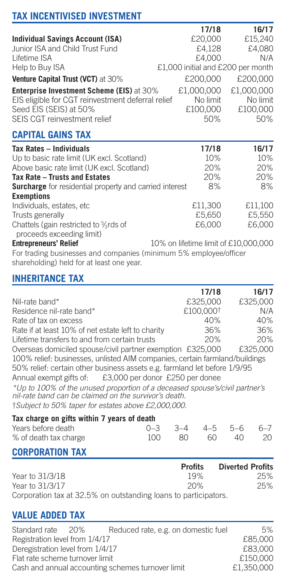# **TAX INCENTIVISED INVESTMENT**

|                                                   | 17/18                             | 16/17      |
|---------------------------------------------------|-----------------------------------|------------|
| <b>Individual Savings Account (ISA)</b>           | £20,000                           | £15,240    |
| Junior ISA and Child Trust Fund                   | £4.128                            | £4.080     |
| Lifetime ISA                                      | £4.000                            | N/A        |
| Help to Buy ISA                                   | £1,000 initial and £200 per month |            |
| Venture Capital Trust (VCT) at 30%                | £200,000                          | £200,000   |
| <b>Enterprise Investment Scheme (EIS)</b> at 30%  | £1,000,000                        | £1,000,000 |
| EIS eligible for CGT reinvestment deferral relief | No limit                          | No limit   |
| Seed EIS (SEIS) at 50%                            | £100,000                          | £100,000   |
| SEIS CGT reinvestment relief                      | 50%                               | 50%        |

## **CAPITAL GAINS TAX**

| Tax Rates - Individuals                                 | 17/18                                | 16/17   |
|---------------------------------------------------------|--------------------------------------|---------|
| Up to basic rate limit (UK excl. Scotland)              | 10%                                  | 10%     |
| Above basic rate limit (UK excl. Scotland)              | 20%                                  | 20%     |
| Tax Rate - Trusts and Estates                           | 20%                                  | 20%     |
| Surcharge for residential property and carried interest | 8%                                   | 8%      |
| <b>Exemptions</b>                                       |                                      |         |
| Individuals, estates, etc.                              | £11.300                              | £11.100 |
| Trusts generally                                        | £5.650                               | £5.550  |
| Chattels (gain restricted to %rds of                    | £6,000                               | £6,000  |
| proceeds exceeding limit)                               |                                      |         |
| <b>Entrenreneurs' Relief</b>                            | 10% on lifetime limit of £10,000,000 |         |

**Entrepreneurs' Relief** 10% on lifetime limit of £10,000,000 For trading businesses and companies (minimum 5% employee/officer shareholding) held for at least one year.

## **INHERITANCE TAX**

|                                                                                                                                                                                             | 17/18                 | 16/17    |
|---------------------------------------------------------------------------------------------------------------------------------------------------------------------------------------------|-----------------------|----------|
| Nil-rate band*                                                                                                                                                                              | £325,000              | £325,000 |
| Residence nil-rate band*                                                                                                                                                                    | £100,000 <sup>+</sup> | N/A      |
| Rate of tax on excess                                                                                                                                                                       | 40%                   | 40%      |
| Rate if at least 10% of net estate left to charity                                                                                                                                          | 36%                   | 36%      |
| Lifetime transfers to and from certain trusts                                                                                                                                               | 20%                   | 20%      |
| Overseas domiciled spouse/civil partner exemption £325,000                                                                                                                                  |                       | £325,000 |
| 100% relief: businesses, unlisted AIM companies, certain farmland/buildings                                                                                                                 |                       |          |
| 50% relief: certain other business assets e.g. farmland let before 1/9/95                                                                                                                   |                       |          |
| Annual exempt gifts of: £3,000 per donor £250 per donee                                                                                                                                     |                       |          |
| *Up to 100% of the unused proportion of a deceased spouse's/civil partner's<br>nil-rate band can be claimed on the survivor's death.<br>†Subject to 50% taper for estates above £2,000,000. |                       |          |
| Toy aborgo an eifte within 7 years of dooth                                                                                                                                                 |                       |          |

#### **Tax charge on gifts within 7 years of death** 0–3 3–4 4–5 5–6 6–7<br>100 80 60 40 20 % of death tax charge

## **CORPORATION TAX**

|                                                                | <b>Profits</b> | <b>Diverted Profits</b> |
|----------------------------------------------------------------|----------------|-------------------------|
| Year to 31/3/18                                                | 19%            | 25%                     |
| Year to 31/3/17                                                | 20%            | 25%                     |
| Corporation tax at 32.5% on outstanding loans to participators |                |                         |

#### Ins to part

## **VALUE ADDED TAX**

| Standard rate                    | -20%     | Reduced rate, e.g. on domestic fuel               | 5%         |
|----------------------------------|----------|---------------------------------------------------|------------|
| Registration level from 1/4/17   | £85,000  |                                                   |            |
| Deregistration level from 1/4/17 | £83,000  |                                                   |            |
| Flat rate scheme turnover limit  | £150,000 |                                                   |            |
|                                  |          | Cash and annual accounting schemes turnover limit | £1.350,000 |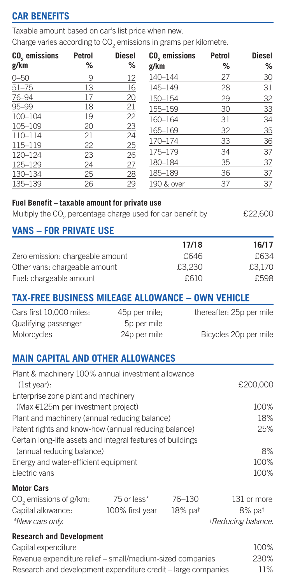## **CAR BENEFITS**

Taxable amount based on car's list price when new.

Charge varies according to  $\mathop{\rm CO}_{2}$  emissions in grams per kilometre.

| CO <sub>2</sub> emissions                                                                                | Petrol | <b>Diesel</b>                 | CO <sub>2</sub> emissions                                               | Petrol | <b>Diesel</b>                                     |
|----------------------------------------------------------------------------------------------------------|--------|-------------------------------|-------------------------------------------------------------------------|--------|---------------------------------------------------|
| g/km                                                                                                     | %      | %                             | g/km                                                                    | %      | %                                                 |
| $0 - 50$                                                                                                 | 9      | 12                            | 140-144                                                                 | 27     | 30                                                |
| $51 - 75$                                                                                                | 13     | 16                            | 145-149                                                                 | 28     | 31                                                |
| 76-94                                                                                                    | 17     | 20                            | 150-154                                                                 | 29     | 32                                                |
| 95-99                                                                                                    | 18     | 21                            | 155-159                                                                 | 30     | 33                                                |
| 100-104                                                                                                  | 19     | 22                            | 160-164                                                                 | 31     | 34                                                |
| 105-109                                                                                                  | 20     | 23                            | 165-169                                                                 | 32     | 35                                                |
| 110-114                                                                                                  | 21     | 24                            | 170-174                                                                 | 33     | 36                                                |
| 115-119                                                                                                  | 22     | 25                            | 175-179                                                                 | 34     | 37                                                |
| 120-124                                                                                                  | 23     | 26                            |                                                                         |        |                                                   |
| 125-129                                                                                                  | 24     | 27                            | 180-184                                                                 | 35     | 37                                                |
| 130-134                                                                                                  | 25     | 28                            | 185-189                                                                 | 36     | 37                                                |
| 135-139                                                                                                  | 26     | 29                            | 190 & over                                                              | 37     | 37                                                |
| Fuel Benefit - taxable amount for private use<br><b>VANS - FOR PRIVATE USE</b>                           |        |                               | Multiply the CO <sub>2</sub> percentage charge used for car benefit by  |        | £22,600                                           |
|                                                                                                          |        |                               | 17/18                                                                   |        | 16/17                                             |
| Zero emission: chargeable amount                                                                         |        |                               | £646                                                                    |        | £634                                              |
| Other vans: chargeable amount                                                                            |        |                               | £3,230                                                                  |        | £3,170                                            |
| Fuel: chargeable amount                                                                                  |        |                               | £610                                                                    |        | £598                                              |
| Cars first 10,000 miles:<br>Qualifying passenger<br>Motorcycles                                          |        | 45p per mile;<br>24p per mile | <b>TAX-FREE BUSINESS MILEAGE ALLOWANCE - OWN VEHICLE</b><br>5p per mile |        | thereafter: 25p per mile<br>Bicycles 20p per mile |
| <b>MAIN CAPITAL AND OTHER ALLOWANCES</b>                                                                 |        |                               |                                                                         |        |                                                   |
| Plant & machinery 100% annual investment allowance<br>(1st year):<br>Enterprise zone plant and machinery |        |                               |                                                                         |        | £200,000                                          |
| (Max €125m per investment project)                                                                       |        |                               |                                                                         |        | 100%                                              |
| Plant and machinery (annual reducing balance)                                                            |        |                               |                                                                         |        | 18%                                               |
| Patent rights and know-how (annual reducing balance)                                                     |        |                               | Certain long-life assets and integral features of buildings             |        | 25%                                               |
| (annual reducing balance)                                                                                |        |                               |                                                                         |        | 8%                                                |
| Energy and water-efficient equipment                                                                     |        |                               |                                                                         |        | 100%                                              |
| Electric vans                                                                                            |        |                               |                                                                         |        | 100%                                              |
|                                                                                                          |        |                               |                                                                         |        |                                                   |
| <b>Motor Cars</b>                                                                                        |        |                               |                                                                         |        |                                                   |
| CO <sub>2</sub> emissions of g/km:                                                                       |        | 75 or less*                   | $76 - 130$                                                              |        | 131 or more                                       |
| Capital allowance:                                                                                       |        | 100% first year               | 18% pat                                                                 |        | 8% pat                                            |
| *New cars only.                                                                                          |        |                               |                                                                         |        | <i><b>*Reducing balance.</b></i>                  |
| <b>Research and Development</b>                                                                          |        |                               |                                                                         |        |                                                   |
|                                                                                                          |        |                               |                                                                         |        | 100%                                              |
| Capital expenditure                                                                                      |        |                               |                                                                         |        |                                                   |
|                                                                                                          |        |                               | Revenue expenditure relief - small/medium-sized companies               |        | 230%                                              |
|                                                                                                          |        |                               | Research and development expenditure credit - large companies           |        | 11%                                               |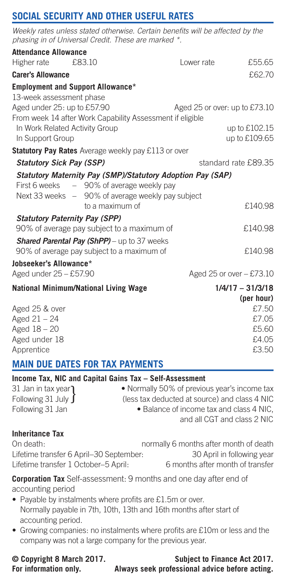## **SOCIAL SECURITY AND OTHER USEFUL RATES**

*Weekly rates unless stated otherwise. Certain benefits will be affected by the phasing in of Universal Credit. These are marked \*.*

| <b>Attendance Allowance</b> |                                                           |                                                            |                      |
|-----------------------------|-----------------------------------------------------------|------------------------------------------------------------|----------------------|
| Higher rate                 | £83.10                                                    | I ower rate                                                | £55.65               |
| <b>Carer's Allowance</b>    |                                                           |                                                            | £62.70               |
|                             | <b>Employment and Support Allowance*</b>                  |                                                            |                      |
| 13-week assessment phase    |                                                           |                                                            |                      |
|                             | Aged under 25: up to £57.90                               | Aged 25 or over: up to £73.10                              |                      |
|                             | From week 14 after Work Capability Assessment if eligible |                                                            |                      |
|                             | In Work Related Activity Group                            |                                                            | up to £102.15        |
| In Support Group            |                                                           |                                                            | up to £109.65        |
|                             | Statutory Pay Rates Average weekly pay £113 or over       |                                                            |                      |
|                             | <b>Statutory Sick Pay (SSP)</b>                           |                                                            | standard rate £89.35 |
|                             |                                                           | Statutory Maternity Pay (SMP)/Statutory Adoption Pay (SAP) |                      |
|                             | First 6 weeks - 90% of average weekly pay                 |                                                            |                      |
|                             | Next 33 weeks - 90% of average weekly pay subject         |                                                            |                      |
|                             | to a maximum of                                           |                                                            | £140.98              |
|                             | <b>Statutory Paternity Pay (SPP)</b>                      |                                                            |                      |
|                             | 90% of average pay subject to a maximum of                |                                                            | £140.98              |
|                             | Shared Parental Pay (ShPP) - up to 37 weeks               |                                                            |                      |
|                             | 90% of average pay subject to a maximum of                |                                                            | £140.98              |
| Jobseeker's Allowance*      |                                                           |                                                            |                      |
| Aged under 25 - £57.90      |                                                           | Aged 25 or over - £73.10                                   |                      |
|                             | <b>National Minimum/National Living Wage</b>              |                                                            | $1/4/17 - 31/3/18$   |
|                             |                                                           |                                                            | (per hour)           |
| Aged 25 & over              |                                                           |                                                            | £7.50                |
| Aged $21 - 24$              |                                                           |                                                            | £7.05                |
| Aged 18 - 20                |                                                           |                                                            | £5.60                |
| Aged under 18               |                                                           |                                                            | £4.05                |
| Apprentice                  |                                                           |                                                            | £3.50                |

## **MAIN DUE DATES FOR TAX PAYMENTS**

#### **Income Tax, NIC and Capital Gains Tax – Self-Assessment**

| 31 Jan in tax year  | . Normally 50% of previous year's income tax  |
|---------------------|-----------------------------------------------|
| Following 31 July ∫ | (less tax deducted at source) and class 4 NIC |
| Following 31 Jan    | • Balance of income tax and class 4 NIC.      |
|                     | and all CGT and class 2 NIC                   |

### **Inheritance Tax**

Lifetime transfer 6 April–30 September: 30 April in following year<br>Lifetime transfer 1 October–5 April: 6 months after month of transfer Lifetime transfer 1 October-5 April:

On death: normally 6 months after month of death

#### **Corporation Tax** Self-assessment: 9 months and one day after end of accounting period

- Payable by instalments where profits are £1.5m or over. Normally payable in 7th, 10th, 13th and 16th months after start of accounting period.
- Growing companies: no instalments where profits are £10m or less and the company was not a large company for the previous year.

#### **© Copyright 8 March 2017. Subject to Finance Act 2017. For information only. Always seek professional advice before acting.**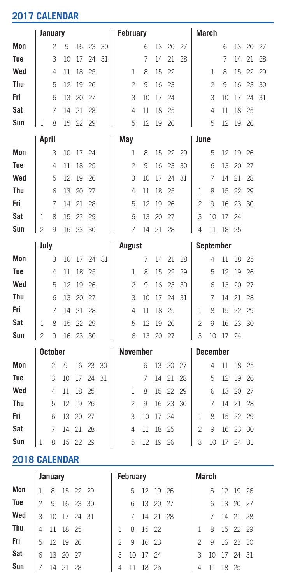# **2017 CALENDAR**

|               | January        |                |    |    |    |    |                      | February       |    |    |    |    |                | March           |    |    |    |    |  |
|---------------|----------------|----------------|----|----|----|----|----------------------|----------------|----|----|----|----|----------------|-----------------|----|----|----|----|--|
| Mon           |                | $\overline{c}$ | 9  | 16 | 23 | 30 |                      |                | 6  | 13 | 20 | 27 |                |                 | 6  | 13 | 20 | 27 |  |
| Tue           |                | 3              | 10 | 17 | 24 | 31 |                      |                | 7  | 14 | 21 | 28 |                |                 | 7  | 14 | 21 | 28 |  |
| Wed           |                | 4              | 11 | 18 | 25 |    |                      | 1              | 8  | 15 | 22 |    |                | 1               | 8  | 15 | 22 | 29 |  |
| Thu           |                | 5              | 12 | 19 | 26 |    |                      | $\overline{c}$ | 9  | 16 | 23 |    |                | $\overline{c}$  | 9  | 16 | 23 | 30 |  |
| Fri           |                | 6              | 13 | 20 | 27 |    |                      | 3              | 10 | 17 | 24 |    |                | 3               | 10 | 17 | 24 | 31 |  |
| Sat           |                | 7              | 14 | 21 | 28 |    |                      | $\overline{4}$ | 11 | 18 | 25 |    |                | 4               | 11 | 18 | 25 |    |  |
| Sun           | 1              | 8              | 15 | 22 | 29 |    |                      | 5              | 12 | 19 | 26 |    |                | 5               | 12 | 19 | 26 |    |  |
|               | April          |                |    |    |    |    | May                  |                |    |    |    |    | June           |                 |    |    |    |    |  |
| Mon           |                | 3              | 10 | 17 | 24 |    |                      | $\mathbf{1}$   | 8  | 15 | 22 | 29 |                | 5               | 12 | 19 | 26 |    |  |
| Tue           |                | $\overline{4}$ | 11 | 18 | 25 |    |                      | $\overline{c}$ | 9  | 16 | 23 | 30 |                | 6               | 13 | 20 | 27 |    |  |
| Wed           |                | 5              | 12 | 19 | 26 |    |                      | 3              | 10 | 17 | 24 | 31 |                | 7               | 14 | 21 | 28 |    |  |
| Thu           |                | 6              | 13 | 20 | 27 |    |                      | $\overline{4}$ | 11 | 18 | 25 |    | 1              | 8               | 15 | 22 | 29 |    |  |
| Fri           |                | 7              | 14 | 21 | 28 |    |                      | 5              | 12 | 19 | 26 |    | $\mathfrak{p}$ | 9               | 16 | 23 | 30 |    |  |
| Sat           | 1              | 8              | 15 | 22 | 29 |    |                      | 6              | 13 | 20 | 27 |    | 3              | 10              | 17 | 24 |    |    |  |
| Sun           | $\mathfrak{p}$ | 9              | 16 | 23 | 30 |    |                      | 7              | 14 | 21 | 28 |    | 4              | 11              | 18 | 25 |    |    |  |
|               | July           |                |    |    |    |    |                      | <b>August</b>  |    |    |    |    | September      |                 |    |    |    |    |  |
| Mon           |                | 3              | 10 | 17 | 24 | 31 |                      |                | 7  | 14 | 21 | 28 |                | 4               | 11 | 18 | 25 |    |  |
| Tue           |                | $\overline{4}$ | 11 | 18 | 25 |    |                      | 1              | 8  | 15 | 22 | 29 |                | 5               | 12 | 19 | 26 |    |  |
| Wed           |                | 5              | 12 | 19 | 26 |    |                      | $\overline{c}$ | 9  | 16 | 23 | 30 |                | 6               | 13 | 20 | 27 |    |  |
| Thu           |                | 6              | 13 | 20 | 27 |    |                      | 3              | 10 | 17 | 24 | 31 |                | 7               | 14 | 21 | 28 |    |  |
| Fri           |                | 7              | 14 | 21 | 28 |    |                      | 4              | 11 | 18 | 25 |    | 1              | 8               | 15 | 22 | 29 |    |  |
| Sat           | 1              | 8              | 15 | 22 | 29 |    |                      | 5              | 12 | 19 | 26 |    | $\mathfrak{p}$ | 9               | 16 | 23 | 30 |    |  |
| Sun           | $\overline{c}$ | 9              | 16 | 23 | 30 |    |                      | 6              | 13 | 20 | 27 |    | 3              | 10              | 17 | 24 |    |    |  |
|               | October        |                |    |    |    |    |                      | November       |    |    |    |    |                | <b>December</b> |    |    |    |    |  |
| Mon           |                | $\overline{c}$ | 9  | 16 | 23 | 30 |                      |                | 6  | 13 | 20 | 27 |                | 4               | 11 | 18 | 25 |    |  |
| Tue           |                | 3              | 10 | 17 | 24 | 31 |                      |                | 7  | 14 | 21 | 28 |                | 5               | 12 | 19 | 26 |    |  |
| Wed           |                | $\overline{4}$ | 11 | 18 | 25 |    |                      | 1              | 8  | 15 | 22 | 29 |                | 6               | 13 | 20 | 27 |    |  |
| Thu           |                | 5              | 12 | 19 | 26 |    |                      | $\overline{c}$ | 9  | 16 | 23 | 30 |                | 7               | 14 | 21 | 28 |    |  |
| Fri           |                | 6              | 13 | 20 | 27 |    |                      | 3              | 10 | 17 | 24 |    | 1              | 8               | 15 | 22 | 29 |    |  |
| Sat           |                | 7              | 14 | 21 | 28 |    |                      | 4              | 11 | 18 | 25 |    | $\overline{c}$ | 9               | 16 | 23 | 30 |    |  |
| Sun           | 1              | 8              | 15 | 22 | 29 |    |                      | 5              | 12 | 19 | 26 |    | 3              | 10              | 17 | 24 | 31 |    |  |
| 2018 CALENDAR |                |                |    |    |    |    |                      |                |    |    |    |    |                |                 |    |    |    |    |  |
|               |                |                |    |    |    |    | $\sim$ $\sim$ $\sim$ |                |    |    |    |    | $\cdots$       |                 |    |    |    |    |  |

|     | January |               |  |  |  |  | February       |            |  |  |  |  | March          |               |       |            |  |
|-----|---------|---------------|--|--|--|--|----------------|------------|--|--|--|--|----------------|---------------|-------|------------|--|
| Mon |         | 8 15 22 29    |  |  |  |  |                | 5 12 19 26 |  |  |  |  |                |               |       | 5 12 19 26 |  |
| Tue |         | 2 9 16 23 30  |  |  |  |  |                | 6 13 20 27 |  |  |  |  |                | 6 13 20 27    |       |            |  |
| Wed |         | 3 10 17 24 31 |  |  |  |  |                | 7 14 21 28 |  |  |  |  |                | 7 14 21 28    |       |            |  |
| Thu |         | 4 11 18 25    |  |  |  |  |                | 8 15 22    |  |  |  |  |                | 1 8 15 22 29  |       |            |  |
| Fri |         | 5 12 19 26    |  |  |  |  |                | 2 9 16 23  |  |  |  |  |                | 2 9 16 23 30  |       |            |  |
| Sat |         | 6 13 20 27    |  |  |  |  |                | 3 10 17 24 |  |  |  |  |                | 3 10 17 24 31 |       |            |  |
| Sun |         | 7 14 21 28    |  |  |  |  | $\overline{4}$ | 11 18 25   |  |  |  |  | $\overline{4}$ | -11           | 18 25 |            |  |